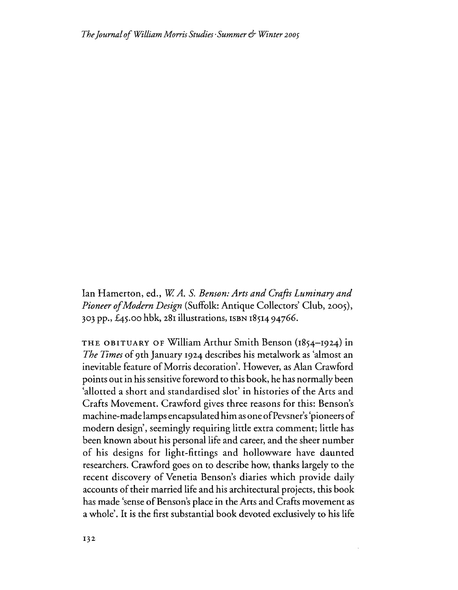lan Hamerton, ed., *WA.* S. *Benson: Arts and Crafts Luminary and Pioneer ofModern Design* (Suffolk: Antique Collectors' Club, 2005), 303 pp., 45.00 hbk, 281 illustrations, ISBN 1851494766.

THE OBITUARY OF William Arthur Smith Benson (1854-1924) in *The Times* of 9th January 1924 describes his metalwork as 'almost an inevitable feature of Morris decoration'. However, as Alan Crawford points out in his sensitive foreword to this book, he has normally been 'allotted a short and standardised slot' in histories of the Arts and Crafts Movement. Crawford gives three reasons for this: Benson's machine-made lamps encapsulated him as one of Pevsner's 'pioneers of modern design', seemingly requiring little extra comment; little has been known about his personal life and career, and the sheer number of his designs for light-fittings and hollowware have daunted researchers. Crawford goes on to describe how, thanks largely to the recent discovery of Venetia Benson's diaries which provide daily accounts of their married life and his architectural projects, this book has made 'sense of Benson's place in the Arts and Crafts movement as a whole'. It is the first substantial book devoted exclusively to his life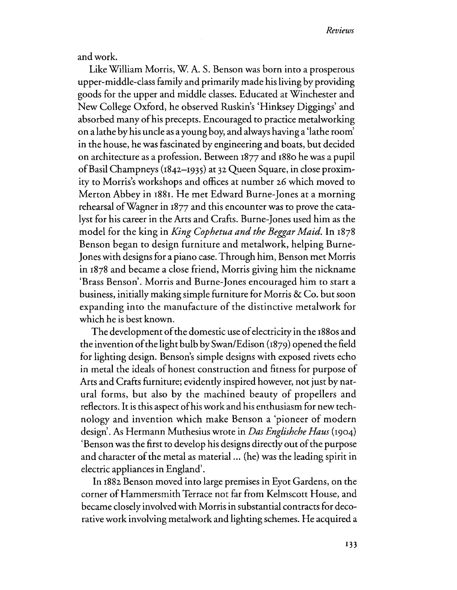and work.

Like William Morris, W A. S. Benson was born into a prosperous upper-middle-class family and primarily made his living by providing goods for the upper and middle classes. Educated at Winchester and New College Oxford, he observed Ruskin's 'Hinksey Diggings' and absorbed many ofhis precepts. Encouraged to practice metalworking on a lathe by his uncle as a young boy, and always having a 'lathe room' in the house, he was fascinated by engineering and boats, but decided on architecture as a profession. Between 1877 and 1880 he was a pupil ofBasil Champneys (1842-1935) at 32 Queen Square, in close proximity to Morris's workshops and offices at number 26 which moved to Merron Abbey in 1881. He met Edward Burne-Jones at a morning rehearsal ofWagner in 1877 and this encounter was to prove the catalyst for his career in the Arts and Crafts. Burne-Jones used him as the model for the king in *King Cophetua and the Beggar Maid.* In 1878 Benson began to design furniture and metalwork, helping Burne-Jones with designs for a piano case. Through him, Benson met Morris in 1878 and became a close friend, Morris giving him the nickname 'Brass Benson'. Morris and Burne-Jones encouraged him to start a. business, initially making simple furniture for Morris  $\&$  Co. but soon expanding into the manufacture of the distinctive metalwork for which he is best known.

The development of the domestic use of electricity in the 1880s and the invention ofthe light bulb by Swan/Edison (1879) opened the field for lighting design. Benson's simple designs with exposed rivets echo in metal the ideals of honest construction and fitness for purpose of Arts and Crafts furniture; evidently inspired however, not just by natural forms, but also by the machined beauty of propellers and reflectors. It is this aspect ofhis work and his enthusiasm for new technology and invention which make Benson a 'pioneer of modern design. As Hermann Muthesius wrote in *Das Englishche Haus* (1904) 'Benson was the first to develop his designs directly out of the purpose and character of the metal as material ... (he) was the leading spirit in electric appliances in England'.

In 1882 Benson moved into large premises in Eyot Gardens, on the corner of Hammersmith Terrace not far from Kelmscott House, and became closely involvedwith Morrisin substantial contracts for decorative work involving metalwork and lighting schemes. He acquired a.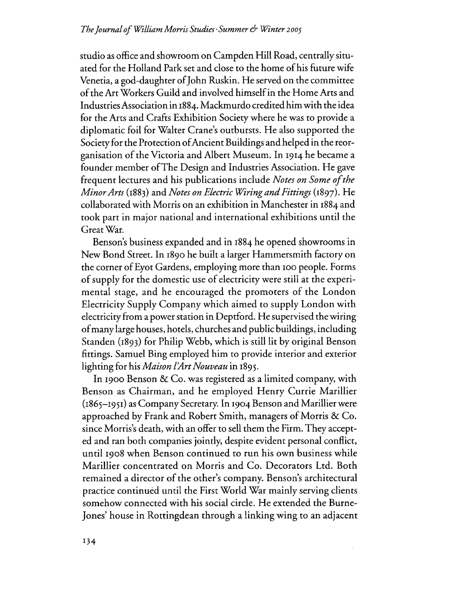studio as office and showroom on Campden Hill Road, centrally situated for the Holland Park set and close to the home ofhis future wife Venetia, a god-daughter of John Ruskin. He served on the committee ofthe ArtWorkers Guild and involved himselfin the Home Arts and IndustriesAssociation in 1884. Mackmurdo credited himwith the idea for the Arts and Crafts Exhibition Society where he was to provide a diplomatic foil for WaIter Crane's outbursts. He also supported the Society for the Protection of Ancient Buildings and helped in the reorganisation of the Victoria and Albert Museum. In 1914 he became a founder member ofThe Design and Industries Association. He gave frequent lectures and his publications include *Notes on Some ofthe MinorArts* (1883) and *Notes on Electric Wiring andFittings* (1897). He collaborated with Morris on an exhibition in Manchester in 1884 and took part in major national and international exhibitions until the GreatWar.

Benson's business expanded and in 1884 he opened showrooms in New Bond Street. In 1890 he built a larger Hammersmith factory on the corner of Eyot Gardens, employing more than 100 people. Forms ofsupply for the domestic use of electricity were still at the experimental stage, and he encouraged the promoters of the London Electricity Supply Company which aimed to supply London with electricity from a power station in Deptford. He supervised the wiring of many large houses, hotels, churches and public buildings, including Standen (1893) for Philip Webb, which is still lit by original Benson fittings. Samuel Bing employed him to provide interior and exterior lighting for his *Maison l'Art Nouveau* in 1895.

In 1900 Benson & Co. was registered as a limited company, with Benson as Chairman, and he employed Henry Currie Marillier (1865-1951) as Company Secretary. In 1904 Benson and Marillier were approached by Frank and Robert Smith, managers of Morris & Co. since Morris's death, with an offer to sell them the Firm. They accepted and ran both companies jointly, despite evident personal conflict, until 1908 when Benson continued to run his own business while Marillier concentrated on Morris and Co. Decorators Ltd. Both remained a director of the other's company. Benson's architectural practice continued until the First World War mainly serving clients somehow connected with his social circle. He extended the Burne-Jones' house in Rottingdean through a linking wing to an adjacent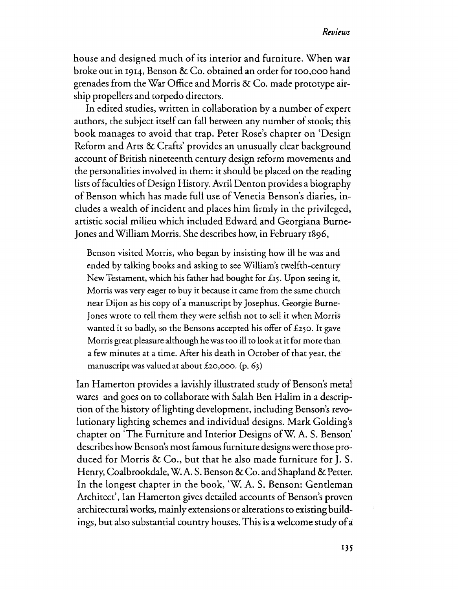## *RtviroJS*

house and designed much of its interior and furniture. When war broke out in 1914, Benson & Co. obtained an order for 100,000 hand grenades from the War Office and Morris & Co. made prototype airship propellers and torpedo directors.

In edited studies, written in collaboration by a number of expert authors, the subject itself can fall between any number of stools; this book manages to avoid that trap. Peter Rose's chapter on 'Design Reform and Arts & Crafts' provides an unusually clear background account of British nineteenth century design reform movements and the personalities involved in them: it should be placed on the reading lists offaculties ofDesign History. Avril Denton provides a biography of Benson which has made full use of Venetia Benson's diaries, includes a wealth of incident and places him firmly in the privileged, artistic social milieu which included Edward and Georgiana Burne-Jones andWilliam Morris. She describes how, in February 1896,

Benson visited Morris, who began by insisting how ill he was and ended by talking books and asking to see William's twelfth-century New Testament, which his father had bought for £15. Upon seeing it, Morris was very eager to buy it because it came from the same church near Dijon as his copy of a manuscript by Josephus. Georgie Burne-Jones wrote to tell them they were selfish not to sell it when Morris wanted it so badly, so the Bensons accepted his offer of £250. It gave Morris great pleasure although he was too ill to look at it for more than a few minutes at a time. After his death in October of that year, the manuscript was valued at about £20,000. (p. 63)

Ian Hamerton provides a lavishly illustrated study of Benson's metal wares and goes on to collaborate with Salah Ben Halim in a description of the history of lighting development, including Benson's revolutionary lighting schemes and individual designs. Mark Golding's chapter on 'The Furniture and Interior Designs ofW. A. S. Benson' describes how Benson's most famous furniture designs were those produced for Morris & Co., but that he also made furniture for J. S. Henry, Coalbrookdale, W. A. S. Benson & Co. and Shapland & Petter. In the longest chapter in the book, 'w. A. S. Benson: Gentleman Architect', Ian Hamerton gives detailed accounts of Benson's proven architectural works, mainly extensions or alterations to existing buildings, but also substantial country houses. This is a welcome study of a